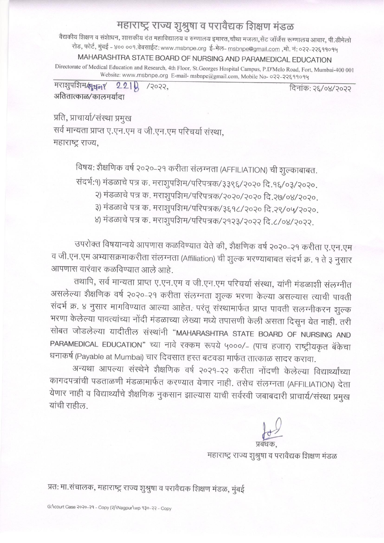## महाराष्ट्र राज्य शुश्रुषा व परावैद्यक शिक्षण मंडळ

वैद्यकीय शिक्षण व संशेाधन, शासकीय दंत महाविद्यालय व रुग्णालय इमारत,चौथा मजला,सेंट जॉर्जेस रूग्णालय आवार, पी.डीमेलो रोड, फोर्ट, मुंबई - ४०० ००१.वेबसाईट: www.msbnpe.org ई-मेल- msbnpe@gmail.com ,मो. नं: ०२२-२२६११०१५

## MAHARASHTRA STATE BOARD OF NURSING AND PARAMEDICAL EDUCATION

Directorate of Medical Education and Research, 4th Floor, St.Georges Hospital Campus, P.D'Melo Road, Fort, Mumbai-400 001 Website: www.msbnpe.org E-mail-msbnpe@gmail.com, Mobile No- 022-22699094

मराशुपशिम श्रमना 221  $13033.$ अतितात्काळ/कालमर्याटा

दिनांकः २६/०४/२०२२

प्रति, प्राचार्या/संस्था प्रमुख सर्व मान्यता प्राप्त ए.एन.एम व जी.एन.एम परिचर्या संस्था, महाराष्ट्र राज्य,

विषय: शैक्षणिक वर्ष २०२०-२१ करीता संलग्नता (AFFILIATION) ची शुल्काबाबत.

संदर्भ:१) मंडळाचे पत्र क. मराशुपशिम/परिपत्रक/३३९६/२०२० दि.१६/०३/२०२०.

- २) मंडळाचे पत्र क. मराशुपशिम/परिपत्रक/२०२०/२०२० दि.२७/०४/२०२०.
- ३) मंडळाचे पत्र क. मराशुपशिम/परिपत्रक/३६१८/२०२० दि.२९/०५/२०२०.

४) मंडळाचे पत्र क. मराशुपशिम/परिपत्रक/२१२३/२०२२ दि.८/०४/२०२२.

उपरोक्त विषयान्वये आपणास कळविण्यात येते की, शैक्षणिक वर्ष २०२०-२१ करीता ए.एन.एम व जी.एन.एम अभ्यासक्रमाकरीता संलग्नता (Affiliation) ची शुल्क भरण्याबाबत संदर्भ क्र. १ ते ३ नुसार आपणास वारंवार कळविण्यात आले आहे.

तथापि, सर्व मान्यता प्राप्त ए.एन.एम व जी.एन.एम परिचर्या संस्था, यांनी मंडळाशी संलग्नीत असलेल्या शैक्षणिक वर्ष २०२०-२१ करीता संलग्नता शुल्क भरणा केल्या असल्यास त्याची पावती संदर्भ क्र. ४ नुसार मागविण्यात आल्या आहेत. परंतू संस्थामार्फत प्राप्त पावती सलग्नीकरन शुल्क भरणा केलेल्या पावत्यांच्या नोंदी मंडळाच्या लेख्या मध्ये तपासणी केली असता दिसून येत नाही. तरी सोबत जोडलेल्या यादीतील संस्थांनी "MAHARASHTRA STATE BOARD OF NURSING AND PARAMEDICAL EDUCATION" च्या नावे रक्कम रूपये ५०००/- (पाच हजार) राष्ट्रीयकृत बॅकेचा धनाकर्ष (Payable at Mumbai) चार दिवसात हस्त बटवडा मार्फत तात्काळ सादर करावा.

अन्यथा आपल्या संस्थेने शैक्षणिक वर्ष २०२१-२२ करीता नोंदणी केलेल्या विद्यार्थ्यांच्या कागदपत्रांची पडताळणी मंडळामार्फत करण्यात येणार नाही. तसेच संलग्नता (AFFILIATION) देता येणार नाही व विद्यार्थ्यांचे शैक्षणिक नुकसान झाल्यास याची सर्वस्वी जबाबदारी प्राचार्य/संस्था प्रमुख यांची राहील

महाराष्ट्र राज्य शुश्रुषा व परावैद्यक शिक्षण मंडळ

प्रतः मा.संचालक, महाराष्ट्र राज्य शुश्रुषा व परावैद्यक शिक्षण मंडळ, मुंबई

G:\court Case 2020-29 - Copy (?)\Nagpur\wp 930-22 - Copy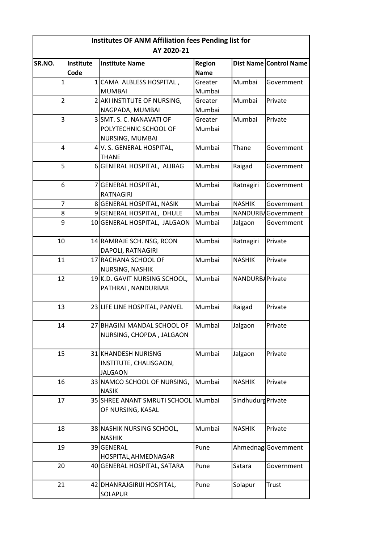| Institutes OF ANM Affiliation fees Pending list for |           |                                     |               |                    |                        |  |  |
|-----------------------------------------------------|-----------|-------------------------------------|---------------|--------------------|------------------------|--|--|
| AY 2020-21                                          |           |                                     |               |                    |                        |  |  |
| SR.NO.                                              | Institute | <b>Institute Name</b>               | <b>Region</b> |                    | Dist Name Control Name |  |  |
|                                                     | Code      |                                     | <b>Name</b>   |                    |                        |  |  |
| 1                                                   | $1\vert$  | CAMA ALBLESS HOSPITAL,              | Greater       | Mumbai             | Government             |  |  |
|                                                     |           | <b>MUMBAI</b>                       | Mumbai        |                    |                        |  |  |
| $\overline{2}$                                      |           | 2 AKI INSTITUTE OF NURSING,         | Greater       | Mumbai             | Private                |  |  |
|                                                     |           | NAGPADA, MUMBAI                     | Mumbai        |                    |                        |  |  |
| 3                                                   |           | 3 SMT. S. C. NANAVATI OF            | Greater       | Mumbai             | Private                |  |  |
|                                                     |           | POLYTECHNIC SCHOOL OF               | Mumbai        |                    |                        |  |  |
|                                                     |           | NURSING, MUMBAI                     |               |                    |                        |  |  |
| 4                                                   |           | 4 V. S. GENERAL HOSPITAL,           | Mumbai        | Thane              | Government             |  |  |
|                                                     |           | <b>THANE</b>                        |               |                    |                        |  |  |
| 5                                                   |           | 6 GENERAL HOSPITAL, ALIBAG          | Mumbai        | Raigad             | Government             |  |  |
| 6                                                   |           | 7 GENERAL HOSPITAL,                 | Mumbai        | Ratnagiri          | Government             |  |  |
|                                                     |           | <b>RATNAGIRI</b>                    |               |                    |                        |  |  |
| $\overline{7}$                                      |           | 8 GENERAL HOSPITAL, NASIK           | Mumbai        | <b>NASHIK</b>      | Government             |  |  |
| 8                                                   |           | 9 GENERAL HOSPITAL, DHULE           | Mumbai        |                    | NANDURB Government     |  |  |
| 9                                                   |           | 10 GENERAL HOSPITAL, JALGAON        | Mumbai        | Jalgaon            | Government             |  |  |
| 10                                                  |           | 14 RAMRAJE SCH. NSG, RCON           | Mumbai        | Ratnagiri          | Private                |  |  |
|                                                     |           | DAPOLI, RATNAGIRI                   |               |                    |                        |  |  |
| 11                                                  |           | 17 RACHANA SCHOOL OF                | Mumbai        | <b>NASHIK</b>      | Private                |  |  |
|                                                     |           | NURSING, NASHIK                     |               |                    |                        |  |  |
| 12                                                  |           | 19K.D. GAVIT NURSING SCHOOL,        | Mumbai        | NANDURB/Private    |                        |  |  |
|                                                     |           | PATHRAI, NANDURBAR                  |               |                    |                        |  |  |
| 13                                                  |           | 23 LIFE LINE HOSPITAL, PANVEL       | Mumbai        | Raigad             | Private                |  |  |
|                                                     |           |                                     |               |                    |                        |  |  |
| 141                                                 |           | 27 BHAGINI MANDAL SCHOOL OF         | Mumbai        | Jalgaon            | Private                |  |  |
|                                                     |           | NURSING, CHOPDA, JALGAON            |               |                    |                        |  |  |
| 15                                                  |           | 31 KHANDESH NURISNG                 | Mumbai        | Jalgaon            | Private                |  |  |
|                                                     |           | INSTITUTE, CHALISGAON,              |               |                    |                        |  |  |
|                                                     |           | <b>JALGAON</b>                      |               |                    |                        |  |  |
| 16                                                  |           | 33 NAMCO SCHOOL OF NURSING,         | Mumbai        | <b>NASHIK</b>      | Private                |  |  |
|                                                     |           | <b>NASIK</b>                        |               |                    |                        |  |  |
| 17                                                  |           | 35 SHREE ANANT SMRUTI SCHOOL Mumbai |               | Sindhudurg Private |                        |  |  |
|                                                     |           | OF NURSING, KASAL                   |               |                    |                        |  |  |
| 18                                                  |           | 38 NASHIK NURSING SCHOOL,           | Mumbai        | <b>NASHIK</b>      | Private                |  |  |
|                                                     |           | <b>NASHIK</b>                       |               |                    |                        |  |  |
| 19                                                  |           | 39 GENERAL                          | Pune          |                    | Ahmednag Government    |  |  |
|                                                     |           | HOSPITAL, AHMEDNAGAR                |               |                    |                        |  |  |
| 20                                                  |           | 40 GENERAL HOSPITAL, SATARA         | Pune          | Satara             | Government             |  |  |
|                                                     |           |                                     |               |                    |                        |  |  |
| 21                                                  |           | 42 DHANRAJGIRIJI HOSPITAL,          | Pune          | Solapur            | Trust                  |  |  |
|                                                     |           | SOLAPUR                             |               |                    |                        |  |  |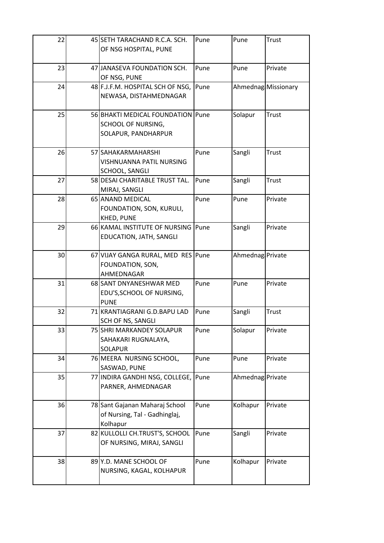| 22 | 45 SETH TARACHAND R.C.A. SCH.<br>OF NSG HOSPITAL, PUNE                                  | Pune | Pune             | <b>Trust</b>        |
|----|-----------------------------------------------------------------------------------------|------|------------------|---------------------|
| 23 | 47 JANASEVA FOUNDATION SCH.<br>OF NSG, PUNE                                             | Pune | Pune             | Private             |
| 24 | 48 F.J.F.M. HOSPITAL SCH OF NSG,<br>NEWASA, DISTAHMEDNAGAR                              | Pune |                  | Ahmednag Missionary |
| 25 | 56 BHAKTI MEDICAL FOUNDATION   Pune<br><b>SCHOOL OF NURSING,</b><br>SOLAPUR, PANDHARPUR |      | Solapur          | Trust               |
| 26 | 57 SAHAKARMAHARSHI<br>VISHNUANNA PATIL NURSING<br>SCHOOL, SANGLI                        | Pune | Sangli           | Trust               |
| 27 | 58 DESAI CHARITABLE TRUST TAL.<br>MIRAJ, SANGLI                                         | Pune | Sangli           | Trust               |
| 28 | 65 ANAND MEDICAL<br>FOUNDATION, SON, KURULI,<br><b>KHED, PUNE</b>                       | Pune | Pune             | Private             |
| 29 | 66 KAMAL INSTITUTE OF NURSING<br>EDUCATION, JATH, SANGLI                                | Pune | Sangli           | Private             |
| 30 | 67 VIJAY GANGA RURAL, MED RES Pune<br>FOUNDATION, SON,<br>AHMEDNAGAR                    |      | Ahmednag Private |                     |
| 31 | 68 SANT DNYANESHWAR MED<br>EDU'S, SCHOOL OF NURSING,<br><b>PUNE</b>                     | Pune | Pune             | Private             |
| 32 | 71 KRANTIAGRANI G.D.BAPU LAD<br><b>SCH OF NS, SANGLI</b>                                | Pune | Sangli           | <b>Trust</b>        |
| 33 | 75 SHRI MARKANDEY SOLAPUR<br>SAHAKARI RUGNALAYA,<br><b>SOLAPUR</b>                      | Pune | Solapur          | Private             |
| 34 | 76 MEERA NURSING SCHOOL,<br>SASWAD, PUNE                                                | Pune | Pune             | Private             |
| 35 | 77 INDIRA GANDHI NSG, COLLEGE,<br>PARNER, AHMEDNAGAR                                    | Pune | Ahmednag Private |                     |
| 36 | 78 Sant Gajanan Maharaj School<br>of Nursing, Tal - Gadhinglaj,<br>Kolhapur             | Pune | Kolhapur         | Private             |
| 37 | 82 KULLOLLI CH.TRUST'S, SCHOOL<br>OF NURSING, MIRAJ, SANGLI                             | Pune | Sangli           | Private             |
| 38 | 89 Y.D. MANE SCHOOL OF<br>NURSING, KAGAL, KOLHAPUR                                      | Pune | Kolhapur         | Private             |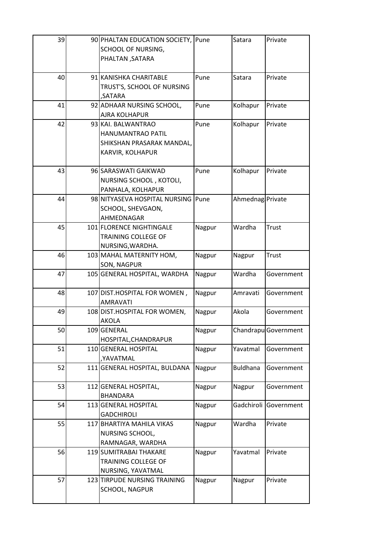| 39 |     | 90 PHALTAN EDUCATION SOCIETY, Pune                 |        | Satara           | Private              |
|----|-----|----------------------------------------------------|--------|------------------|----------------------|
|    |     | SCHOOL OF NURSING,                                 |        |                  |                      |
|    |     | PHALTAN, SATARA                                    |        |                  |                      |
|    |     |                                                    |        |                  |                      |
| 40 |     | 91 KANISHKA CHARITABLE                             | Pune   | Satara           | Private              |
|    |     | TRUST'S, SCHOOL OF NURSING                         |        |                  |                      |
|    |     | ,SATARA                                            |        |                  |                      |
| 41 |     | 92 ADHAAR NURSING SCHOOL,                          | Pune   | Kolhapur         | Private              |
|    |     | <b>AJRA KOLHAPUR</b>                               |        |                  |                      |
| 42 |     | 93 KAI. BALWANTRAO                                 | Pune   | Kolhapur         | Private              |
|    |     | HANUMANTRAO PATIL                                  |        |                  |                      |
|    |     | SHIKSHAN PRASARAK MANDAL,                          |        |                  |                      |
|    |     | KARVIR, KOLHAPUR                                   |        |                  |                      |
|    |     |                                                    |        |                  |                      |
| 43 |     | 96 SARASWATI GAIKWAD                               | Pune   | Kolhapur         | Private              |
|    |     | NURSING SCHOOL, KOTOLI,                            |        |                  |                      |
|    |     | PANHALA, KOLHAPUR                                  |        |                  |                      |
| 44 |     | 98 NITYASEVA HOSPITAL NURSING                      | Pune   | Ahmednag Private |                      |
|    |     | SCHOOL, SHEVGAON,                                  |        |                  |                      |
|    |     | AHMEDNAGAR                                         |        |                  |                      |
| 45 |     | 101 FLORENCE NIGHTINGALE                           | Nagpur | Wardha           | Trust                |
|    |     | TRAINING COLLEGE OF                                |        |                  |                      |
|    |     | NURSING, WARDHA.                                   |        |                  |                      |
| 46 |     | 103 MAHAL MATERNITY HOM,                           | Nagpur | Nagpur           | <b>Trust</b>         |
| 47 |     | <b>SON, NAGPUR</b><br>105 GENERAL HOSPITAL, WARDHA |        | Wardha           | Government           |
|    |     |                                                    | Nagpur |                  |                      |
| 48 |     | 107 DIST.HOSPITAL FOR WOMEN,                       | Nagpur | Amravati         | Government           |
|    |     | <b>AMRAVATI</b>                                    |        |                  |                      |
| 49 |     | 108 DIST.HOSPITAL FOR WOMEN,                       | Nagpur | Akola            | Government           |
|    |     | <b>AKOLA</b>                                       |        |                  |                      |
| 50 | 109 | <b>GENERAL</b>                                     | Nagpur |                  | Chandrapu Government |
|    |     | HOSPITAL, CHANDRAPUR                               |        |                  |                      |
| 51 |     | 110 GENERAL HOSPITAL                               | Nagpur | Yavatmal         | Government           |
|    |     | ,YAVATMAL                                          |        |                  |                      |
| 52 |     | 111 GENERAL HOSPITAL, BULDANA                      | Nagpur | <b>Buldhana</b>  | Government           |
|    |     |                                                    |        |                  |                      |
| 53 |     | 112 GENERAL HOSPITAL,                              | Nagpur | Nagpur           | Government           |
|    |     | <b>BHANDARA</b>                                    |        |                  |                      |
| 54 |     | 113 GENERAL HOSPITAL                               | Nagpur | Gadchiroli       | Government           |
|    |     | <b>GADCHIROLI</b>                                  |        |                  |                      |
| 55 |     | 117 BHARTIYA MAHILA VIKAS                          | Nagpur | Wardha           | Private              |
|    |     | NURSING SCHOOL,                                    |        |                  |                      |
|    |     | RAMNAGAR, WARDHA                                   |        |                  |                      |
| 56 |     | 119 SUMITRABAI THAKARE                             | Nagpur | Yavatmal         | Private              |
|    |     | TRAINING COLLEGE OF                                |        |                  |                      |
|    |     | NURSING, YAVATMAL                                  |        |                  |                      |
| 57 |     | 123 TIRPUDE NURSING TRAINING                       | Nagpur | Nagpur           | Private              |
|    |     | SCHOOL, NAGPUR                                     |        |                  |                      |
|    |     |                                                    |        |                  |                      |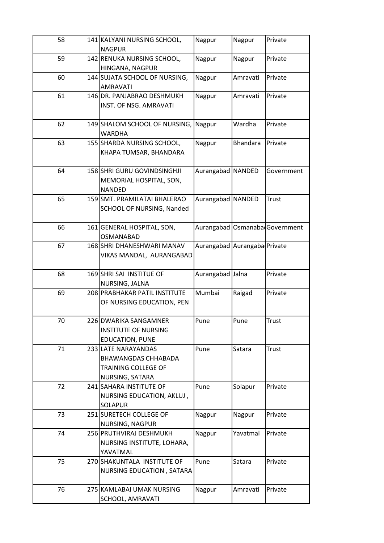| 58 | 141 KALYANI NURSING SCHOOL,<br><b>NAGPUR</b>  | Nagpur                       | Nagpur          | Private                          |
|----|-----------------------------------------------|------------------------------|-----------------|----------------------------------|
| 59 | 142 RENUKA NURSING SCHOOL,                    | Nagpur                       | Nagpur          | Private                          |
|    | HINGANA, NAGPUR                               |                              |                 |                                  |
| 60 | 144 SUJATA SCHOOL OF NURSING,                 | Nagpur                       | Amravati        | Private                          |
|    | <b>AMRAVATI</b>                               |                              |                 |                                  |
| 61 | 146 DR. PANJABRAO DESHMUKH                    | Nagpur                       | Amravati        | Private                          |
|    | INST. OF NSG. AMRAVATI                        |                              |                 |                                  |
|    |                                               |                              |                 |                                  |
| 62 | 149 SHALOM SCHOOL OF NURSING,                 | Nagpur                       | Wardha          | Private                          |
|    | <b>WARDHA</b>                                 |                              |                 |                                  |
| 63 | 155 SHARDA NURSING SCHOOL,                    | Nagpur                       | <b>Bhandara</b> | Private                          |
|    | KHAPA TUMSAR, BHANDARA                        |                              |                 |                                  |
|    |                                               |                              |                 |                                  |
| 64 | 158 SHRI GURU GOVINDSINGHJI                   | Aurangabad NANDED            |                 | Government                       |
|    | MEMORIAL HOSPITAL, SON,                       |                              |                 |                                  |
| 65 | <b>NANDED</b><br>159 SMT. PRAMILATAI BHALERAO | Aurangabad NANDED            |                 | Trust                            |
|    | SCHOOL OF NURSING, Nanded                     |                              |                 |                                  |
|    |                                               |                              |                 |                                  |
| 66 | 161 GENERAL HOSPITAL, SON,                    |                              |                 | Aurangabad   Osmanaba Government |
|    | <b>OSMANABAD</b>                              |                              |                 |                                  |
| 67 | 168 SHRI DHANESHWARI MANAV                    | Aurangabad Aurangaba Private |                 |                                  |
|    | VIKAS MANDAL, AURANGABAD                      |                              |                 |                                  |
|    |                                               |                              |                 |                                  |
| 68 | 169 SHRI SAI INSTITUE OF                      | Aurangabad Jalna             |                 | Private                          |
|    | NURSING, JALNA                                |                              |                 |                                  |
| 69 | 208 PRABHAKAR PATIL INSTITUTE                 | Mumbai                       | Raigad          | Private                          |
|    | OF NURSING EDUCATION, PEN                     |                              |                 |                                  |
| 70 | 226 DWARIKA SANGAMNER                         | Pune                         | Pune            | Trust                            |
|    | <b>INSTITUTE OF NURSING</b>                   |                              |                 |                                  |
|    | <b>EDUCATION, PUNE</b>                        |                              |                 |                                  |
| 71 | 233 LATE NARAYANDAS                           | Pune                         | Satara          | Trust                            |
|    | <b>BHAWANGDAS CHHABADA</b>                    |                              |                 |                                  |
|    | TRAINING COLLEGE OF                           |                              |                 |                                  |
|    | NURSING, SATARA                               |                              |                 |                                  |
| 72 | 241 SAHARA INSTITUTE OF                       | Pune                         | Solapur         | Private                          |
|    | NURSING EDUCATION, AKLUJ,                     |                              |                 |                                  |
|    | <b>SOLAPUR</b>                                |                              |                 |                                  |
| 73 | 251 SURETECH COLLEGE OF                       | Nagpur                       | Nagpur          | Private                          |
|    | NURSING, NAGPUR                               |                              |                 |                                  |
| 74 | 256 PRUTHVIRAJ DESHMUKH                       | Nagpur                       | Yavatmal        | Private                          |
|    | NURSING INSTITUTE, LOHARA,                    |                              |                 |                                  |
|    | YAVATMAL                                      |                              |                 |                                  |
| 75 | 270 SHAKUNTALA INSTITUTE OF                   | Pune                         | Satara          | Private                          |
|    | NURSING EDUCATION, SATARA                     |                              |                 |                                  |
| 76 | 275 KAMLABAI UMAK NURSING                     | Nagpur                       | Amravati        | Private                          |
|    | SCHOOL, AMRAVATI                              |                              |                 |                                  |
|    |                                               |                              |                 |                                  |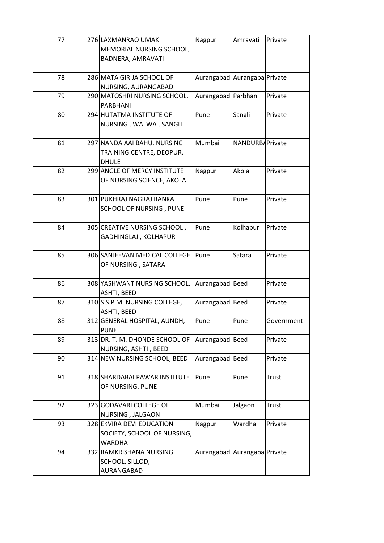| 77 | 276 LAXMANRAO UMAK<br>MEMORIAL NURSING SCHOOL,<br>BADNERA, AMRAVATI       | Nagpur                       | Amravati         | Private      |
|----|---------------------------------------------------------------------------|------------------------------|------------------|--------------|
| 78 | 286 MATA GIRIJA SCHOOL OF<br>NURSING, AURANGABAD.                         | Aurangabad Aurangaba Private |                  |              |
| 79 | 290 MATOSHRI NURSING SCHOOL,<br>PARBHANI                                  | Aurangabad Parbhani          |                  | Private      |
| 80 | 294 HUTATMA INSTITUTE OF<br>NURSING, WALWA, SANGLI                        | Pune                         | Sangli           | Private      |
| 81 | 297 NANDA AAI BAHU. NURSING<br>TRAINING CENTRE, DEOPUR,<br><b>DHULE</b>   | Mumbai                       | NANDURBA Private |              |
| 82 | 299 ANGLE OF MERCY INSTITUTE<br>OF NURSING SCIENCE, AKOLA                 | Nagpur                       | Akola            | Private      |
| 83 | 301 PUKHRAJ NAGRAJ RANKA<br>SCHOOL OF NURSING, PUNE                       | Pune                         | Pune             | Private      |
| 84 | 305 CREATIVE NURSING SCHOOL,<br>GADHINGLAJ, KOLHAPUR                      | Pune                         | Kolhapur         | Private      |
| 85 | 306 SANJEEVAN MEDICAL COLLEGE<br>OF NURSING, SATARA                       | Pune                         | Satara           | Private      |
| 86 | 308 YASHWANT NURSING SCHOOL,<br>ASHTI, BEED                               | Aurangabad Beed              |                  | Private      |
| 87 | 310 S.S.P.M. NURSING COLLEGE,<br>ASHTI, BEED                              | Aurangabad Beed              |                  | Private      |
| 88 | 312 GENERAL HOSPITAL, AUNDH,<br><b>PUNE</b>                               | Pune                         | Pune             | Government   |
| 89 | 313 DR. T. M. DHONDE SCHOOL OF<br>NURSING, ASHTI, BEED                    | Aurangabad Beed              |                  | Private      |
| 90 | 314 NEW NURSING SCHOOL, BEED                                              | Aurangabad Beed              |                  | Private      |
| 91 | 318 SHARDABAI PAWAR INSTITUTE<br>OF NURSING, PUNE                         | Pune                         | Pune             | <b>Trust</b> |
| 92 | 323 GODAVARI COLLEGE OF<br>NURSING, JALGAON                               | Mumbai                       | Jalgaon          | <b>Trust</b> |
| 93 | 328 EKVIRA DEVI EDUCATION<br>SOCIETY, SCHOOL OF NURSING,<br><b>WARDHA</b> | Nagpur                       | Wardha           | Private      |
| 94 | 332 RAMKRISHANA NURSING<br>SCHOOL, SILLOD,<br>AURANGABAD                  | Aurangabad Aurangaba Private |                  |              |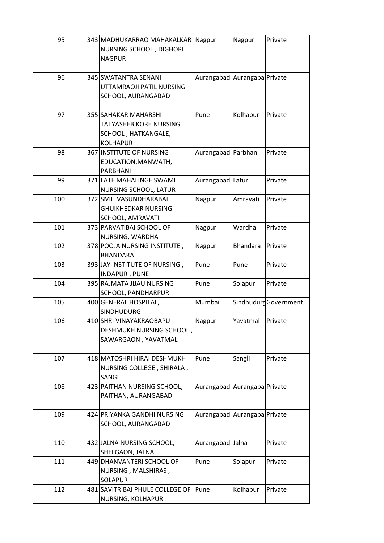| 95  | 343 MADHUKARRAO MAHAKALKAR<br>NURSING SCHOOL, DIGHORI,<br><b>NAGPUR</b>                         | Nagpur                       | Nagpur          | Private               |
|-----|-------------------------------------------------------------------------------------------------|------------------------------|-----------------|-----------------------|
| 96  | 345 SWATANTRA SENANI<br>UTTAMRAOJI PATIL NURSING<br>SCHOOL, AURANGABAD                          | Aurangabad Aurangaba Private |                 |                       |
| 97  | 355 SAHAKAR MAHARSHI<br><b>TATYASHEB KORE NURSING</b><br>SCHOOL, HATKANGALE,<br><b>KOLHAPUR</b> | Pune                         | Kolhapur        | Private               |
| 98  | 367 INSTITUTE OF NURSING<br>EDUCATION, MANWATH,<br>PARBHANI                                     | Aurangabad Parbhani          |                 | Private               |
| 99  | 371 LATE MAHALINGE SWAMI<br>NURSING SCHOOL, LATUR                                               | Aurangabad Latur             |                 | Private               |
| 100 | 372 SMT. VASUNDHARABAI<br><b>GHUIKHEDKAR NURSING</b><br>SCHOOL, AMRAVATI                        | Nagpur                       | Amravati        | Private               |
| 101 | 373 PARVATIBAI SCHOOL OF<br>NURSING, WARDHA                                                     | Nagpur                       | Wardha          | Private               |
| 102 | 378 POOJA NURSING INSTITUTE,<br><b>BHANDARA</b>                                                 | Nagpur                       | <b>Bhandara</b> | Private               |
| 103 | 393 JAY INSTITUTE OF NURSING,<br>INDAPUR, PUNE                                                  | Pune                         | Pune            | Private               |
| 104 | 395 RAJMATA JIJAU NURSING<br>SCHOOL, PANDHARPUR                                                 | Pune                         | Solapur         | Private               |
| 105 | 400 GENERAL HOSPITAL,<br><b>SINDHUDURG</b>                                                      | Mumbai                       |                 | Sindhudurg Government |
| 106 | 410 SHRI VINAYAKRAOBAPU<br>DESHMUKH NURSING SCHOOL,<br>SAWARGAON, YAVATMAL                      | Nagpur                       | Yavatmal        | Private               |
| 107 | 418 MATOSHRI HIRAI DESHMUKH<br>NURSING COLLEGE, SHIRALA,<br>SANGLI                              | Pune                         | Sangli          | Private               |
| 108 | 423 PAITHAN NURSING SCHOOL,<br>PAITHAN, AURANGABAD                                              | Aurangabad Aurangaba Private |                 |                       |
| 109 | 424 PRIYANKA GANDHI NURSING<br>SCHOOL, AURANGABAD                                               | Aurangabad Aurangaba Private |                 |                       |
| 110 | 432 JALNA NURSING SCHOOL,<br>SHELGAON, JALNA                                                    | Aurangabad Jalna             |                 | Private               |
| 111 | 449 DHANVANTERI SCHOOL OF<br>NURSING, MALSHIRAS,<br><b>SOLAPUR</b>                              | Pune                         | Solapur         | Private               |
| 112 | 481 SAVITRIBAI PHULE COLLEGE OF<br>NURSING, KOLHAPUR                                            | Pune                         | Kolhapur        | Private               |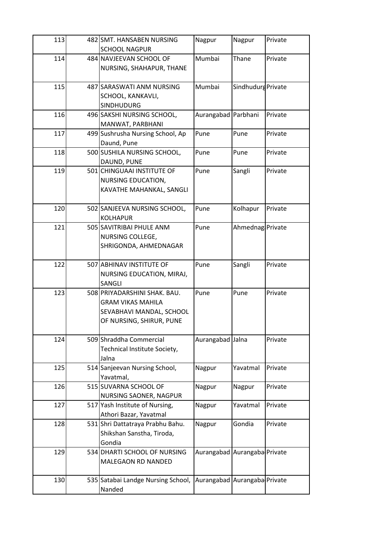| 113 | 482 SMT. HANSABEN NURSING          | Nagpur                       | Nagpur             | Private |
|-----|------------------------------------|------------------------------|--------------------|---------|
|     | <b>SCHOOL NAGPUR</b>               |                              |                    |         |
| 114 | 484 NAVJEEVAN SCHOOL OF            | Mumbai                       | Thane              | Private |
|     | NURSING, SHAHAPUR, THANE           |                              |                    |         |
|     |                                    |                              |                    |         |
| 115 | 487 SARASWATI ANM NURSING          | Mumbai                       | Sindhudurg Private |         |
|     | SCHOOL, KANKAVLI,                  |                              |                    |         |
|     | <b>SINDHUDURG</b>                  |                              |                    |         |
| 116 | 496 SAKSHI NURSING SCHOOL,         | Aurangabad Parbhani          |                    | Private |
|     | MANWAT, PARBHANI                   |                              |                    |         |
| 117 | 499 Sushrusha Nursing School, Ap   | Pune                         | Pune               | Private |
|     | Daund, Pune                        |                              |                    |         |
| 118 | 500 SUSHILA NURSING SCHOOL,        | Pune                         | Pune               | Private |
|     | DAUND, PUNE                        |                              |                    |         |
| 119 | 501 CHINGUAAI INSTITUTE OF         | Pune                         | Sangli             | Private |
|     | NURSING EDUCATION,                 |                              |                    |         |
|     | KAVATHE MAHANKAL, SANGLI           |                              |                    |         |
|     |                                    |                              |                    |         |
| 120 | 502 SANJEEVA NURSING SCHOOL,       | Pune                         | Kolhapur           | Private |
|     | <b>KOLHAPUR</b>                    |                              |                    |         |
| 121 | 505 SAVITRIBAI PHULE ANM           | Pune                         | Ahmednag Private   |         |
|     | NURSING COLLEGE,                   |                              |                    |         |
|     | SHRIGONDA, AHMEDNAGAR              |                              |                    |         |
|     |                                    |                              |                    |         |
| 122 | 507 ABHINAV INSTITUTE OF           | Pune                         | Sangli             | Private |
|     | NURSING EDUCATION, MIRAJ,          |                              |                    |         |
|     | SANGLI                             |                              |                    |         |
| 123 | 508 PRIYADARSHINI SHAK. BAU.       | Pune                         | Pune               | Private |
|     | <b>GRAM VIKAS MAHILA</b>           |                              |                    |         |
|     | SEVABHAVI MANDAL, SCHOOL           |                              |                    |         |
|     | OF NURSING, SHIRUR, PUNE           |                              |                    |         |
|     |                                    |                              |                    |         |
| 124 | 509 Shraddha Commercial            | Aurangabad Jalna             |                    | Private |
|     | Technical Institute Society,       |                              |                    |         |
|     | Jalna                              |                              |                    |         |
| 125 | 514 Sanjeevan Nursing School,      | Nagpur                       | Yavatmal           | Private |
|     | Yavatmal,                          |                              |                    |         |
| 126 | 515 SUVARNA SCHOOL OF              | Nagpur                       | Nagpur             | Private |
|     | NURSING SAONER, NAGPUR             |                              |                    |         |
| 127 | 517 Yash Institute of Nursing,     | Nagpur                       | Yavatmal           | Private |
|     | Athori Bazar, Yavatmal             |                              |                    |         |
| 128 | 531 Shri Dattatraya Prabhu Bahu.   | Nagpur                       | Gondia             | Private |
|     | Shikshan Sanstha, Tiroda,          |                              |                    |         |
|     | Gondia                             |                              |                    |         |
| 129 | 534 DHARTI SCHOOL OF NURSING       | Aurangabad Aurangaba Private |                    |         |
|     | MALEGAON RD NANDED                 |                              |                    |         |
|     |                                    |                              |                    |         |
| 130 | 535 Satabai Landge Nursing School, | Aurangabad Aurangaba Private |                    |         |
|     | Nanded                             |                              |                    |         |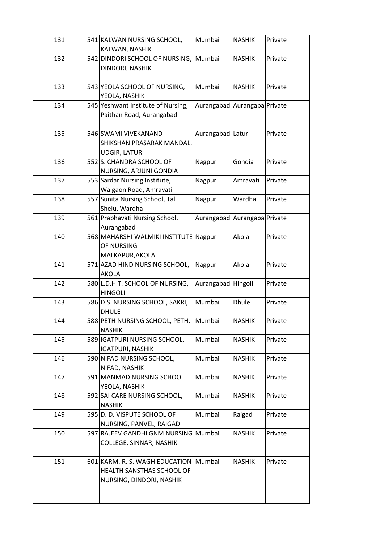| 131 | 541 KALWAN NURSING SCHOOL,                        | Mumbai                       | <b>NASHIK</b> | Private |
|-----|---------------------------------------------------|------------------------------|---------------|---------|
|     | KALWAN, NASHIK                                    |                              |               |         |
| 132 | 542 DINDORI SCHOOL OF NURSING,                    | Mumbai                       | <b>NASHIK</b> | Private |
|     | DINDORI, NASHIK                                   |                              |               |         |
|     |                                                   |                              |               |         |
| 133 | 543 YEOLA SCHOOL OF NURSING,                      | Mumbai                       | <b>NASHIK</b> | Private |
|     | YEOLA, NASHIK                                     |                              |               |         |
| 134 | 545 Yeshwant Institute of Nursing,                | Aurangabad Aurangaba Private |               |         |
|     | Paithan Road, Aurangabad                          |                              |               |         |
|     |                                                   |                              |               |         |
| 135 | 546 SWAMI VIVEKANAND                              | Aurangabad Latur             |               | Private |
|     | SHIKSHAN PRASARAK MANDAL,                         |                              |               |         |
|     | <b>UDGIR, LATUR</b>                               |                              |               |         |
| 136 | 552 S. CHANDRA SCHOOL OF                          | Nagpur                       | Gondia        | Private |
|     | NURSING, ARJUNI GONDIA                            |                              |               |         |
| 137 | 553 Sardar Nursing Institute,                     | Nagpur                       | Amravati      | Private |
|     | Walgaon Road, Amravati                            |                              |               |         |
| 138 | 557 Sunita Nursing School, Tal                    | Nagpur                       | Wardha        | Private |
|     | Shelu, Wardha                                     |                              |               |         |
| 139 | 561 Prabhavati Nursing School,                    | Aurangabad Aurangaba Private |               |         |
|     | Aurangabad                                        |                              |               |         |
| 140 | 568 MAHARSHI WALMIKI INSTITUTE Nagpur             |                              | Akola         | Private |
|     | OF NURSING                                        |                              |               |         |
|     | MALKAPUR, AKOLA                                   |                              |               |         |
| 141 | 571 AZAD HIND NURSING SCHOOL,                     | Nagpur                       | Akola         | Private |
|     | <b>AKOLA</b>                                      |                              |               |         |
| 142 | 580 L.D.H.T. SCHOOL OF NURSING,<br><b>HINGOLI</b> | Aurangabad                   | Hingoli       | Private |
| 143 | 586 D.S. NURSING SCHOOL, SAKRI,                   | Mumbai                       | <b>Dhule</b>  | Private |
|     | <b>DHULE</b>                                      |                              |               |         |
| 144 | 588 PETH NURSING SCHOOL, PETH,                    | Mumbai                       | <b>NASHIK</b> | Private |
|     | <b>NASHIK</b>                                     |                              |               |         |
| 145 | 589 IGATPURI NURSING SCHOOL,                      | Mumbai                       | <b>NASHIK</b> | Private |
|     | <b>IGATPURI, NASHIK</b>                           |                              |               |         |
| 146 | 590 NIFAD NURSING SCHOOL,                         | Mumbai                       | <b>NASHIK</b> | Private |
|     | NIFAD, NASHIK                                     |                              |               |         |
| 147 | 591 MANMAD NURSING SCHOOL,                        | Mumbai                       | <b>NASHIK</b> | Private |
|     | YEOLA, NASHIK                                     |                              |               |         |
| 148 | 592 SAI CARE NURSING SCHOOL,                      | Mumbai                       | <b>NASHIK</b> | Private |
|     | <b>NASHIK</b>                                     |                              |               |         |
| 149 | 595 D. D. VISPUTE SCHOOL OF                       | Mumbai                       | Raigad        | Private |
|     | NURSING, PANVEL, RAIGAD                           |                              |               |         |
| 150 | 597 RAJEEV GANDHI GNM NURSING Mumbai              |                              | <b>NASHIK</b> | Private |
|     | COLLEGE, SINNAR, NASHIK                           |                              |               |         |
|     |                                                   |                              |               |         |
| 151 | 601 KARM. R. S. WAGH EDUCATION                    | Mumbai                       | <b>NASHIK</b> | Private |
|     | HEALTH SANSTHAS SCHOOL OF                         |                              |               |         |
|     | NURSING, DINDORI, NASHIK                          |                              |               |         |
|     |                                                   |                              |               |         |
|     |                                                   |                              |               |         |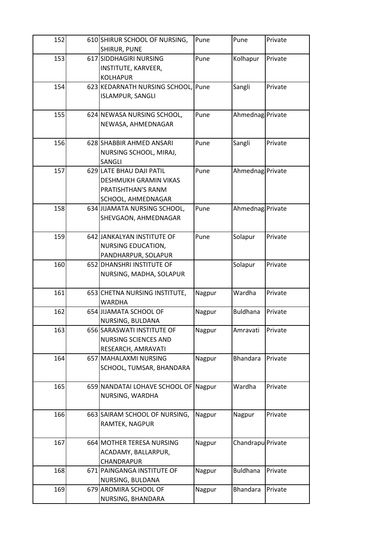| Private           |
|-------------------|
|                   |
|                   |
|                   |
|                   |
| Private           |
|                   |
|                   |
| Ahmednag Private  |
|                   |
|                   |
| Private           |
|                   |
|                   |
| Ahmednag Private  |
|                   |
|                   |
|                   |
| Ahmednag Private  |
|                   |
|                   |
| Private           |
|                   |
|                   |
| Private           |
|                   |
|                   |
| Private           |
|                   |
| Private           |
|                   |
| Private           |
|                   |
|                   |
| Private           |
|                   |
|                   |
| Private           |
|                   |
|                   |
| Private           |
|                   |
|                   |
| Chandrapu Private |
|                   |
|                   |
| Private           |
|                   |
| Private           |
|                   |
|                   |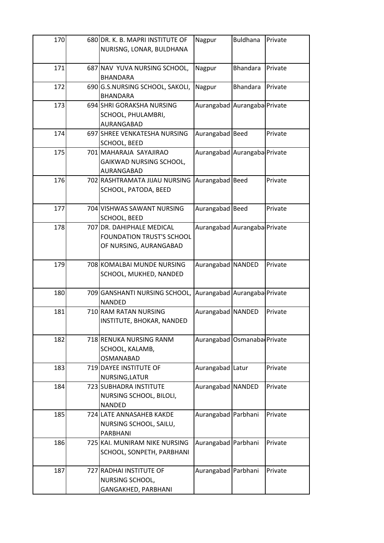| 170 | 680 DR. K. B. MAPRI INSTITUTE OF                           | Nagpur                       | <b>Buldhana</b> | Private |
|-----|------------------------------------------------------------|------------------------------|-----------------|---------|
|     | NURISNG, LONAR, BULDHANA                                   |                              |                 |         |
|     |                                                            |                              |                 |         |
| 171 | 687 NAV YUVA NURSING SCHOOL,                               | Nagpur                       | <b>Bhandara</b> | Private |
|     | <b>BHANDARA</b>                                            |                              |                 |         |
| 172 | 690 G.S.NURSING SCHOOL, SAKOLI,                            | Nagpur                       | <b>Bhandara</b> | Private |
|     | <b>BHANDARA</b>                                            |                              |                 |         |
| 173 | 694 SHRI GORAKSHA NURSING                                  | Aurangabad Aurangaba Private |                 |         |
|     | SCHOOL, PHULAMBRI,                                         |                              |                 |         |
|     | AURANGABAD                                                 |                              |                 |         |
| 174 | 697 SHREE VENKATESHA NURSING                               | Aurangabad Beed              |                 | Private |
|     | <b>SCHOOL, BEED</b>                                        |                              |                 |         |
| 175 | 701 MAHARAJA SAYAJIRAO                                     | Aurangabad Aurangaba Private |                 |         |
|     | GAIKWAD NURSING SCHOOL,                                    |                              |                 |         |
|     | AURANGABAD                                                 |                              |                 |         |
| 176 | 702 RASHTRAMATA JIJAU NURSING                              | Aurangabad Beed              |                 | Private |
|     | SCHOOL, PATODA, BEED                                       |                              |                 |         |
|     |                                                            |                              |                 |         |
| 177 | 704 VISHWAS SAWANT NURSING                                 | Aurangabad Beed              |                 | Private |
|     | <b>SCHOOL, BEED</b>                                        |                              |                 |         |
| 178 | 707 DR. DAHIPHALE MEDICAL                                  | Aurangabad Aurangaba Private |                 |         |
|     | <b>FOUNDATION TRUST'S SCHOOL</b>                           |                              |                 |         |
|     | OF NURSING, AURANGABAD                                     |                              |                 |         |
|     |                                                            |                              |                 |         |
| 179 | 708 KOMALBAI MUNDE NURSING                                 | Aurangabad NANDED            |                 | Private |
|     | SCHOOL, MUKHED, NANDED                                     |                              |                 |         |
|     |                                                            |                              |                 |         |
| 180 | 709 GANSHANTI NURSING SCHOOL, Aurangabad Aurangaba Private |                              |                 |         |
|     | <b>NANDED</b>                                              |                              |                 |         |
| 181 | 710 RAM RATAN NURSING                                      | Aurangabad NANDED            |                 | Private |
|     | INSTITUTE, BHOKAR, NANDED                                  |                              |                 |         |
|     |                                                            |                              |                 |         |
| 182 | 718 RENUKA NURSING RANM                                    | Aurangabad Osmanaba Private  |                 |         |
|     | SCHOOL, KALAMB,                                            |                              |                 |         |
|     | <b>OSMANABAD</b>                                           |                              |                 |         |
| 183 | 719 DAYEE INSTITUTE OF                                     | Aurangabad Latur             |                 | Private |
|     | NURSING, LATUR                                             |                              |                 |         |
| 184 | 723 SUBHADRA INSTITUTE                                     | Aurangabad NANDED            |                 | Private |
|     | NURSING SCHOOL, BILOLI,                                    |                              |                 |         |
|     | <b>NANDED</b>                                              |                              |                 |         |
| 185 | 724 LATE ANNASAHEB KAKDE                                   | Aurangabad Parbhani          |                 | Private |
|     | NURSING SCHOOL, SAILU,                                     |                              |                 |         |
|     | PARBHANI                                                   |                              |                 |         |
| 186 | 725 KAI. MUNIRAM NIKE NURSING                              | Aurangabad Parbhani          |                 | Private |
|     | SCHOOL, SONPETH, PARBHANI                                  |                              |                 |         |
|     |                                                            |                              |                 |         |
| 187 | 727 RADHAI INSTITUTE OF                                    | Aurangabad Parbhani          |                 | Private |
|     | NURSING SCHOOL,                                            |                              |                 |         |
|     | GANGAKHED, PARBHANI                                        |                              |                 |         |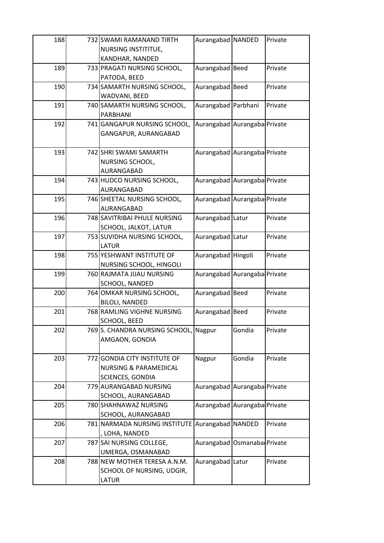| 188 | 732 SWAMI RAMANAND TIRTH                        | Aurangabad NANDED            |        | Private |
|-----|-------------------------------------------------|------------------------------|--------|---------|
|     | NURSING INSTITITUE,                             |                              |        |         |
|     | KANDHAR, NANDED                                 |                              |        |         |
| 189 | 733 PRAGATI NURSING SCHOOL,                     | Aurangabad Beed              |        | Private |
|     | PATODA, BEED                                    |                              |        |         |
| 190 | 734 SAMARTH NURSING SCHOOL,                     | Aurangabad Beed              |        | Private |
|     | WADVANI, BEED                                   |                              |        |         |
| 191 | 740 SAMARTH NURSING SCHOOL,                     | Aurangabad Parbhani          |        | Private |
|     | PARBHANI                                        |                              |        |         |
| 192 | 741 GANGAPUR NURSING SCHOOL,                    | Aurangabad Aurangaba Private |        |         |
|     | GANGAPUR, AURANGABAD                            |                              |        |         |
|     |                                                 |                              |        |         |
| 193 | 742 SHRI SWAMI SAMARTH                          | Aurangabad Aurangaba Private |        |         |
|     | NURSING SCHOOL,                                 |                              |        |         |
|     | AURANGABAD                                      |                              |        |         |
| 194 | 743 HUDCO NURSING SCHOOL,                       | Aurangabad Aurangaba Private |        |         |
|     | AURANGABAD                                      |                              |        |         |
| 195 | 746 SHEETAL NURSING SCHOOL,                     | Aurangabad Aurangaba Private |        |         |
|     | AURANGABAD                                      |                              |        |         |
| 196 | 748 SAVITRIBAI PHULE NURSING                    | Aurangabad Latur             |        | Private |
|     | SCHOOL, JALKOT, LATUR                           |                              |        |         |
| 197 | 753 SUVIDHA NURSING SCHOOL,                     | Aurangabad Latur             |        | Private |
|     | <b>LATUR</b>                                    |                              |        |         |
| 198 | 755 YESHWANT INSTITUTE OF                       | Aurangabad Hingoli           |        | Private |
|     | NURSING SCHOOL, HINGOLI                         |                              |        |         |
| 199 | 760 RAJMATA JIJAU NURSING                       | Aurangabad Aurangaba Private |        |         |
|     | SCHOOL, NANDED                                  |                              |        |         |
| 200 | 764 OMKAR NURSING SCHOOL,                       | Aurangabad Beed              |        | Private |
|     | <b>BILOLI, NANDED</b>                           |                              |        |         |
| 201 | 768 RAMLING VIGHNE NURSING                      | Aurangabad Beed              |        | Private |
|     | SCHOOL, BEED                                    |                              |        |         |
| 202 | 769 S. CHANDRA NURSING SCHOOL, Nagpur           |                              | Gondia | Private |
|     | AMGAON, GONDIA                                  |                              |        |         |
|     |                                                 |                              |        |         |
| 203 | 772 GONDIA CITY INSTITUTE OF                    | Nagpur                       | Gondia | Private |
|     | <b>NURSING &amp; PARAMEDICAL</b>                |                              |        |         |
|     | SCIENCES, GONDIA                                |                              |        |         |
| 204 | 779 AURANGABAD NURSING                          | Aurangabad Aurangaba Private |        |         |
|     | SCHOOL, AURANGABAD                              |                              |        |         |
| 205 | 780 SHAHNAWAZ NURSING                           | Aurangabad Aurangaba Private |        |         |
|     | SCHOOL, AURANGABAD                              |                              |        |         |
| 206 | 781 NARMADA NURSING INSTITUTE Aurangabad NANDED |                              |        | Private |
|     | , LOHA, NANDED                                  |                              |        |         |
| 207 | 787 SAI NURSING COLLEGE,                        | Aurangabad Osmanaba Private  |        |         |
|     | UMERGA, OSMANABAD                               |                              |        |         |
| 208 | 788 NEW MOTHER TERESA A.N.M.                    | Aurangabad Latur             |        | Private |
|     | SCHOOL OF NURSING, UDGIR,                       |                              |        |         |
|     | LATUR                                           |                              |        |         |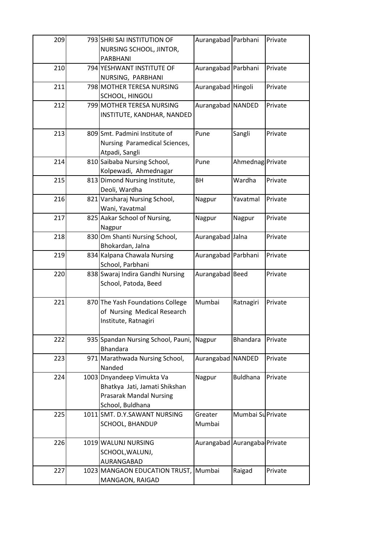| 209 | 793 SHRI SAI INSTITUTION OF              | Aurangabad Parbhani          |                   | Private |
|-----|------------------------------------------|------------------------------|-------------------|---------|
|     | NURSING SCHOOL, JINTOR,                  |                              |                   |         |
|     | PARBHANI                                 |                              |                   |         |
| 210 | 794 YESHWANT INSTITUTE OF                | Aurangabad Parbhani          |                   | Private |
|     | NURSING, PARBHANI                        |                              |                   |         |
| 211 | 798 MOTHER TERESA NURSING                | Aurangabad Hingoli           |                   | Private |
|     | SCHOOL, HINGOLI                          |                              |                   |         |
| 212 | 799 MOTHER TERESA NURSING                | Aurangabad NANDED            |                   | Private |
|     | INSTITUTE, KANDHAR, NANDED               |                              |                   |         |
|     |                                          |                              |                   |         |
| 213 | 809 Smt. Padmini Institute of            | Pune                         | Sangli            | Private |
|     | Nursing Paramedical Sciences,            |                              |                   |         |
|     | Atpadi, Sangli                           |                              |                   |         |
| 214 | 810 Saibaba Nursing School,              | Pune                         | Ahmednag Private  |         |
|     | Kolpewadi, Ahmednagar                    |                              |                   |         |
| 215 | 813 Dimond Nursing Institute,            | <b>BH</b>                    | Wardha            | Private |
|     | Deoli, Wardha                            |                              |                   |         |
| 216 | 821 Varsharaj Nursing School,            | Nagpur                       | Yavatmal          | Private |
|     | Wani, Yavatmal                           |                              |                   |         |
| 217 | 825 Aakar School of Nursing,             | Nagpur                       | Nagpur            | Private |
|     | Nagpur                                   |                              |                   |         |
| 218 | 830 Om Shanti Nursing School,            | Aurangabad Jalna             |                   | Private |
|     | Bhokardan, Jalna                         |                              |                   |         |
| 219 | 834 Kalpana Chawala Nursing              | Aurangabad Parbhani          |                   | Private |
|     | School, Parbhani                         |                              |                   |         |
| 220 | 838 Swaraj Indira Gandhi Nursing         | Aurangabad Beed              |                   | Private |
|     | School, Patoda, Beed                     |                              |                   |         |
|     |                                          |                              |                   |         |
| 221 | 870 The Yash Foundations College         | Mumbai                       | Ratnagiri         | Private |
|     | of Nursing Medical Research              |                              |                   |         |
|     | Institute, Ratnagiri                     |                              |                   |         |
|     |                                          |                              |                   |         |
| 222 | 935 Spandan Nursing School, Pauni,       | Nagpur                       | Bhandara          | Private |
|     | <b>Bhandara</b>                          |                              |                   |         |
| 223 | 971 Marathwada Nursing School,<br>Nanded | Aurangabad NANDED            |                   | Private |
| 224 | 1003 Dnyandeep Vimukta Va                | Nagpur                       | <b>Buldhana</b>   | Private |
|     | Bhatkya Jati, Jamati Shikshan            |                              |                   |         |
|     | <b>Prasarak Mandal Nursing</b>           |                              |                   |         |
|     | School, Buldhana                         |                              |                   |         |
| 225 | 1011 SMT. D.Y.SAWANT NURSING             | Greater                      | Mumbai Su Private |         |
|     | SCHOOL, BHANDUP                          | Mumbai                       |                   |         |
|     |                                          |                              |                   |         |
| 226 | 1019 WALUNJ NURSING                      | Aurangabad Aurangaba Private |                   |         |
|     | SCHOOL, WALUNJ,                          |                              |                   |         |
|     | AURANGABAD                               |                              |                   |         |
| 227 | 1023 MANGAON EDUCATION TRUST,            | Mumbai                       | Raigad            | Private |
|     | MANGAON, RAIGAD                          |                              |                   |         |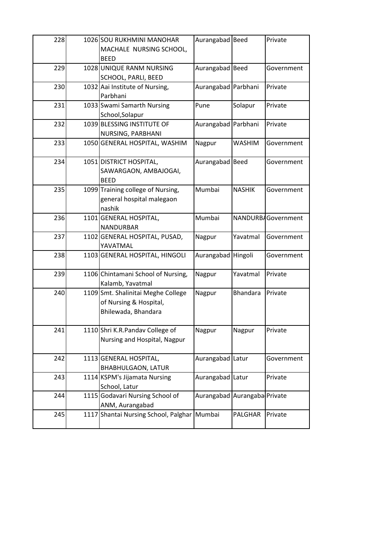| 228 | 1026 SOU RUKHMINI MANOHAR                                                           | Aurangabad Beed              |                 | Private            |
|-----|-------------------------------------------------------------------------------------|------------------------------|-----------------|--------------------|
|     | MACHALE NURSING SCHOOL,<br><b>BEED</b>                                              |                              |                 |                    |
| 229 | 1028 UNIQUE RANM NURSING                                                            | Aurangabad Beed              |                 | Government         |
| 230 | SCHOOL, PARLI, BEED<br>1032 Aai Institute of Nursing,                               | Aurangabad Parbhani          |                 | Private            |
|     | Parbhani                                                                            |                              |                 |                    |
| 231 | 1033 Swami Samarth Nursing<br>School, Solapur                                       | Pune                         | Solapur         | Private            |
| 232 | 1039 BLESSING INSTITUTE OF<br>NURSING, PARBHANI                                     | Aurangabad Parbhani          |                 | Private            |
| 233 | 1050 GENERAL HOSPITAL, WASHIM                                                       | Nagpur                       | <b>WASHIM</b>   | Government         |
| 234 | 1051 DISTRICT HOSPITAL,<br>SAWARGAON, AMBAJOGAI,<br><b>BEED</b>                     | Aurangabad Beed              |                 | Government         |
| 235 | 1099 Training college of Nursing,<br>general hospital malegaon<br>nashik            | Mumbai                       | <b>NASHIK</b>   | Government         |
| 236 | 1101 GENERAL HOSPITAL,<br><b>NANDURBAR</b>                                          | Mumbai                       |                 | NANDURBAGovernment |
| 237 | 1102 GENERAL HOSPITAL, PUSAD,<br>YAVATMAL                                           | Nagpur                       | Yavatmal        | Government         |
| 238 | 1103 GENERAL HOSPITAL, HINGOLI                                                      | Aurangabad Hingoli           |                 | Government         |
| 239 | 1106 Chintamani School of Nursing,<br>Kalamb, Yavatmal                              | Nagpur                       | Yavatmal        | Private            |
| 240 | 1109 Smt. Shalinitai Meghe College<br>of Nursing & Hospital,<br>Bhilewada, Bhandara | Nagpur                       | <b>Bhandara</b> | Private            |
| 241 | 1110 Shri K.R.Pandav College of<br>Nursing and Hospital, Nagpur                     | Nagpur                       | Nagpur          | Private            |
| 242 | 1113 GENERAL HOSPITAL,<br><b>BHABHULGAON, LATUR</b>                                 | Aurangabad Latur             |                 | Government         |
| 243 | 1114 KSPM's Jijamata Nursing<br>School, Latur                                       | Aurangabad Latur             |                 | Private            |
| 244 | 1115 Godavari Nursing School of<br>ANM, Aurangabad                                  | Aurangabad Aurangaba Private |                 |                    |
| 245 | 1117 Shantai Nursing School, Palghar                                                | Mumbai                       | PALGHAR         | Private            |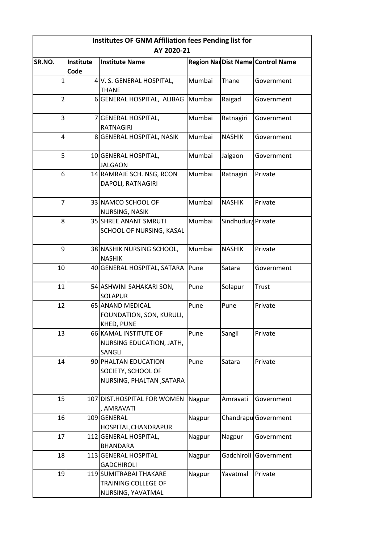| Institutes OF GNM Affiliation fees Pending list for |                   |                                                                         |        |                    |                                  |  |
|-----------------------------------------------------|-------------------|-------------------------------------------------------------------------|--------|--------------------|----------------------------------|--|
|                                                     |                   | AY 2020-21                                                              |        |                    |                                  |  |
| SR.NO.                                              | Institute<br>Code | <b>Institute Name</b>                                                   |        |                    | Region NarDist Name Control Name |  |
| 1                                                   |                   | 4 V. S. GENERAL HOSPITAL,<br><b>THANE</b>                               | Mumbai | Thane              | Government                       |  |
| $\overline{2}$                                      |                   | 6 GENERAL HOSPITAL, ALIBAG Mumbai                                       |        | Raigad             | Government                       |  |
| 3                                                   |                   | 7 GENERAL HOSPITAL,<br><b>RATNAGIRI</b>                                 | Mumbai | Ratnagiri          | Government                       |  |
| 4                                                   |                   | 8 GENERAL HOSPITAL, NASIK                                               | Mumbai | <b>NASHIK</b>      | Government                       |  |
| 5                                                   |                   | 10 GENERAL HOSPITAL,<br><b>JALGAON</b>                                  | Mumbai | Jalgaon            | Government                       |  |
| 6                                                   |                   | 14 RAMRAJE SCH. NSG, RCON<br>DAPOLI, RATNAGIRI                          | Mumbai | Ratnagiri          | Private                          |  |
| $\overline{7}$                                      |                   | 33 NAMCO SCHOOL OF<br>NURSING, NASIK                                    | Mumbai | <b>NASHIK</b>      | Private                          |  |
| 8                                                   |                   | <b>35 SHREE ANANT SMRUTI</b><br>SCHOOL OF NURSING, KASAL                | Mumbai | Sindhudurg Private |                                  |  |
| 9                                                   |                   | 38 NASHIK NURSING SCHOOL,<br><b>NASHIK</b>                              | Mumbai | <b>NASHIK</b>      | Private                          |  |
| 10                                                  |                   | 40 GENERAL HOSPITAL, SATARA                                             | Pune   | Satara             | Government                       |  |
| 11                                                  |                   | 54 ASHWINI SAHAKARI SON,<br><b>SOLAPUR</b>                              | Pune   | Solapur            | <b>Trust</b>                     |  |
| 12                                                  |                   | 65 ANAND MEDICAL<br>FOUNDATION, SON, KURULI,<br>KHED, PUNE              | Pune   | Pune               | Private                          |  |
| 13                                                  |                   | 66 KAMAL INSTITUTE OF<br><b>NURSING EDUCATION, JATH,</b><br>SANGLI      | Pune   | Sangli             | Private                          |  |
| 14                                                  |                   | 90 PHALTAN EDUCATION<br>SOCIETY, SCHOOL OF<br>NURSING, PHALTAN , SATARA | Pune   | Satara             | Private                          |  |
| 15                                                  |                   | 107 DIST.HOSPITAL FOR WOMEN<br>, AMRAVATI                               | Nagpur | Amravati           | Government                       |  |
| 16                                                  |                   | 109 GENERAL<br>HOSPITAL, CHANDRAPUR                                     | Nagpur |                    | Chandrapu Government             |  |
| 17                                                  |                   | 112 GENERAL HOSPITAL,<br><b>BHANDARA</b>                                | Nagpur | Nagpur             | Government                       |  |
| 18                                                  |                   | 113 GENERAL HOSPITAL<br><b>GADCHIROLI</b>                               | Nagpur | Gadchiroli         | Government                       |  |
| 19                                                  |                   | 119 SUMITRABAI THAKARE<br>TRAINING COLLEGE OF<br>NURSING, YAVATMAL      | Nagpur | Yavatmal           | Private                          |  |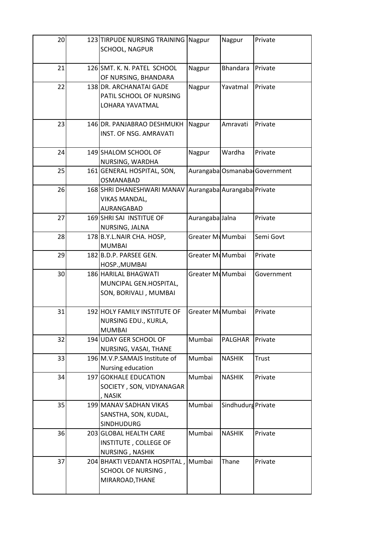| 20 | 123 TIRPUDE NURSING TRAINING Nagpur<br>SCHOOL, NAGPUR                        |                  | Nagpur                      | Private                       |
|----|------------------------------------------------------------------------------|------------------|-----------------------------|-------------------------------|
| 21 | 126 SMT. K. N. PATEL SCHOOL<br>OF NURSING, BHANDARA                          | Nagpur           | <b>Bhandara</b>             | Private                       |
| 22 | 138 DR. ARCHANATAI GADE<br>PATIL SCHOOL OF NURSING<br>LOHARA YAVATMAL        | Nagpur           | Yavatmal                    | Private                       |
| 23 | 146 DR. PANJABRAO DESHMUKH<br>INST. OF NSG. AMRAVATI                         | Nagpur           | Amravati                    | Private                       |
| 24 | 149 SHALOM SCHOOL OF<br>NURSING, WARDHA                                      | Nagpur           | Wardha                      | Private                       |
| 25 | 161 GENERAL HOSPITAL, SON,<br><b>OSMANABAD</b>                               |                  |                             | Aurangaba Osmanaba Government |
| 26 | 168 SHRI DHANESHWARI MANAV<br><b>VIKAS MANDAL,</b><br>AURANGABAD             |                  | Aurangaba Aurangaba Private |                               |
| 27 | 169 SHRI SAI INSTITUE OF<br>NURSING, JALNA                                   | Aurangaba Jalna  |                             | Private                       |
| 28 | 178 B.Y.L.NAIR CHA. HOSP,<br><b>MUMBAI</b>                                   | Greater MuMumbai |                             | Semi Govt                     |
| 29 | 182 B.D.P. PARSEE GEN.<br>HOSP., MUMBAI                                      | Greater MlMumbai |                             | Private                       |
| 30 | 186 HARILAL BHAGWATI<br>MUNCIPAL GEN.HOSPITAL,<br>SON, BORIVALI, MUMBAI      | Greater MuMumbai |                             | Government                    |
| 31 | 192 HOLY FAMILY INSTITUTE OF<br>NURSING EDU., KURLA,<br><b>MUMBAI</b>        | Greater MuMumbai |                             | Private                       |
| 32 | 194 UDAY GER SCHOOL OF<br>NURSING, VASAI, THANE                              | Mumbai           | <b>PALGHAR</b>              | Private                       |
| 33 | 196 M.V.P.SAMAJS Institute of<br>Nursing education                           | Mumbai           | <b>NASHIK</b>               | <b>Trust</b>                  |
| 34 | 197 GOKHALE EDUCATION<br>SOCIETY, SON, VIDYANAGAR<br>, NASIK                 | Mumbai           | <b>NASHIK</b>               | Private                       |
| 35 | 199 MANAV SADHAN VIKAS<br>SANSTHA, SON, KUDAL,<br><b>SINDHUDURG</b>          | Mumbai           | Sindhudurg Private          |                               |
| 36 | 203 GLOBAL HEALTH CARE<br>INSTITUTE, COLLEGE OF<br>NURSING, NASHIK           | Mumbai           | <b>NASHIK</b>               | Private                       |
| 37 | 204 BHAKTI VEDANTA HOSPITAL, Mumbai<br>SCHOOL OF NURSING,<br>MIRAROAD, THANE |                  | Thane                       | Private                       |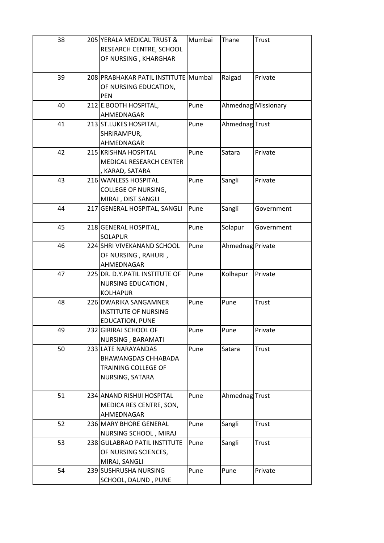| 38 | 205 YERALA MEDICAL TRUST &<br>RESEARCH CENTRE, SCHOOL<br>OF NURSING, KHARGHAR               | Mumbai | Thane            | Trust               |
|----|---------------------------------------------------------------------------------------------|--------|------------------|---------------------|
| 39 | 208 PRABHAKAR PATIL INSTITUTE Mumbai<br>OF NURSING EDUCATION,<br><b>PEN</b>                 |        | Raigad           | Private             |
| 40 | 212 E.BOOTH HOSPITAL,<br>AHMEDNAGAR                                                         | Pune   |                  | Ahmednag Missionary |
| 41 | 213 ST.LUKES HOSPITAL,<br>SHRIRAMPUR,<br>AHMEDNAGAR                                         | Pune   | Ahmednag Trust   |                     |
| 42 | 215 KRISHNA HOSPITAL<br>MEDICAL RESEARCH CENTER<br>KARAD, SATARA                            | Pune   | Satara           | Private             |
| 43 | 216 WANLESS HOSPITAL<br>COLLEGE OF NURSING,<br>MIRAJ, DIST SANGLI                           | Pune   | Sangli           | Private             |
| 44 | 217 GENERAL HOSPITAL, SANGLI                                                                | Pune   | Sangli           | Government          |
| 45 | 218 GENERAL HOSPITAL,<br><b>SOLAPUR</b>                                                     | Pune   | Solapur          | Government          |
| 46 | 224 SHRI VIVEKANAND SCHOOL<br>OF NURSING, RAHURI,<br>AHMEDNAGAR                             | Pune   | Ahmednag Private |                     |
| 47 | 225 DR. D.Y.PATIL INSTITUTE OF<br>NURSING EDUCATION,<br><b>KOLHAPUR</b>                     | Pune   | Kolhapur         | Private             |
| 48 | 226 DWARIKA SANGAMNER<br><b>INSTITUTE OF NURSING</b><br>EDUCATION, PUNE                     | Pune   | Pune             | <b>Trust</b>        |
| 49 | 232 GIRIRAJ SCHOOL OF<br>NURSING, BARAMATI                                                  | Pune   | Pune             | Private             |
| 50 | 233 LATE NARAYANDAS<br><b>BHAWANGDAS CHHABADA</b><br>TRAINING COLLEGE OF<br>NURSING, SATARA | Pune   | Satara           | Trust               |
| 51 | 234 ANAND RISHIJI HOSPITAL<br>MEDICA RES CENTRE, SON,<br>AHMEDNAGAR                         | Pune   | Ahmednag Trust   |                     |
| 52 | 236 MARY BHORE GENERAL<br>NURSING SCHOOL, MIRAJ                                             | Pune   | Sangli           | Trust               |
| 53 | 238 GULABRAO PATIL INSTITUTE<br>OF NURSING SCIENCES,<br>MIRAJ, SANGLI                       | Pune   | Sangli           | <b>Trust</b>        |
| 54 | 239 SUSHRUSHA NURSING<br>SCHOOL, DAUND, PUNE                                                | Pune   | Pune             | Private             |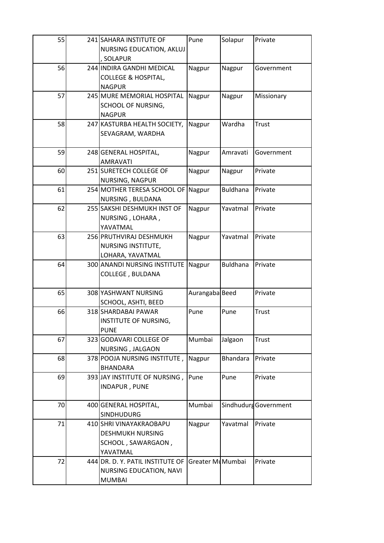| 55 | 241 SAHARA INSTITUTE OF                          | Pune             | Solapur         | Private               |
|----|--------------------------------------------------|------------------|-----------------|-----------------------|
|    | NURSING EDUCATION, AKLUJ<br><b>SOLAPUR</b>       |                  |                 |                       |
| 56 | 244 INDIRA GANDHI MEDICAL                        | Nagpur           | Nagpur          | Government            |
|    | <b>COLLEGE &amp; HOSPITAL,</b>                   |                  |                 |                       |
|    | <b>NAGPUR</b>                                    |                  |                 |                       |
| 57 | 245 MURE MEMORIAL HOSPITAL                       | Nagpur           | Nagpur          | Missionary            |
|    | SCHOOL OF NURSING,                               |                  |                 |                       |
|    | <b>NAGPUR</b>                                    |                  |                 |                       |
| 58 | 247 KASTURBA HEALTH SOCIETY,                     | Nagpur           | Wardha          | <b>Trust</b>          |
|    | SEVAGRAM, WARDHA                                 |                  |                 |                       |
| 59 | 248 GENERAL HOSPITAL,                            | Nagpur           | Amravati        | Government            |
|    | <b>AMRAVATI</b>                                  |                  |                 |                       |
| 60 | 251 SURETECH COLLEGE OF                          | Nagpur           | Nagpur          | Private               |
|    | NURSING, NAGPUR                                  |                  |                 |                       |
| 61 | 254 MOTHER TERESA SCHOOL OF                      | Nagpur           | <b>Buldhana</b> | Private               |
|    | NURSING, BULDANA                                 |                  |                 |                       |
| 62 | 255 SAKSHI DESHMUKH INST OF                      | Nagpur           | Yavatmal        | Private               |
|    | NURSING, LOHARA,                                 |                  |                 |                       |
|    | YAVATMAL                                         |                  |                 |                       |
| 63 | 256 PRUTHVIRAJ DESHMUKH                          | Nagpur           | Yavatmal        | Private               |
|    | NURSING INSTITUTE,                               |                  |                 |                       |
| 64 | LOHARA, YAVATMAL<br>300 ANANDI NURSING INSTITUTE | Nagpur           | <b>Buldhana</b> | Private               |
|    | <b>COLLEGE, BULDANA</b>                          |                  |                 |                       |
|    |                                                  |                  |                 |                       |
| 65 | 308 YASHWANT NURSING                             | Aurangaba Beed   |                 | Private               |
|    | SCHOOL, ASHTI, BEED                              |                  |                 |                       |
| 66 | 318 SHARDABAI PAWAR                              | Pune             | Pune            | <b>Trust</b>          |
|    |                                                  |                  |                 |                       |
|    | INSTITUTE OF NURSING,                            |                  |                 |                       |
|    | <b>PUNE</b>                                      |                  |                 |                       |
| 67 | 323 GODAVARI COLLEGE OF                          | Mumbai           | Jalgaon         | Trust                 |
|    | NURSING, JALGAON                                 |                  |                 |                       |
| 68 | 378 POOJA NURSING INSTITUTE,                     | Nagpur           | <b>Bhandara</b> | Private               |
|    | <b>BHANDARA</b>                                  |                  |                 |                       |
| 69 | 393 JAY INSTITUTE OF NURSING,                    | Pune             | Pune            | Private               |
|    | <b>INDAPUR, PUNE</b>                             |                  |                 |                       |
| 70 | 400 GENERAL HOSPITAL,                            | Mumbai           |                 | Sindhudurg Government |
|    | SINDHUDURG                                       |                  |                 |                       |
| 71 | 410 SHRI VINAYAKRAOBAPU                          | Nagpur           | Yavatmal        | Private               |
|    | <b>DESHMUKH NURSING</b>                          |                  |                 |                       |
|    | SCHOOL, SAWARGAON,                               |                  |                 |                       |
|    | YAVATMAL                                         |                  |                 |                       |
| 72 | 444 DR. D. Y. PATIL INSTITUTE OF                 | Greater MuMumbai |                 | Private               |
|    | NURSING EDUCATION, NAVI<br><b>MUMBAI</b>         |                  |                 |                       |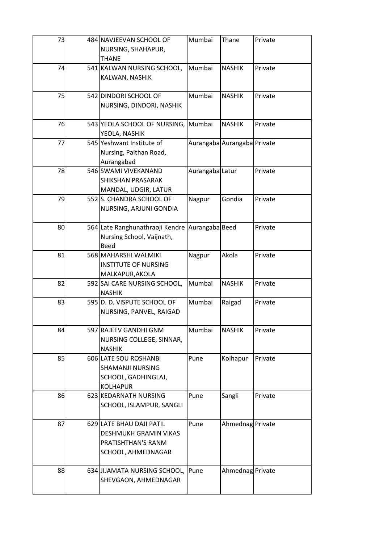| 73 | 484 NAVJEEVAN SCHOOL OF<br>NURSING, SHAHAPUR,<br><b>THANE</b>                                 | Mumbai          | Thane                       | Private |
|----|-----------------------------------------------------------------------------------------------|-----------------|-----------------------------|---------|
| 74 | 541 KALWAN NURSING SCHOOL,<br>KALWAN, NASHIK                                                  | Mumbai          | <b>NASHIK</b>               | Private |
| 75 | 542 DINDORI SCHOOL OF<br>NURSING, DINDORI, NASHIK                                             | Mumbai          | <b>NASHIK</b>               | Private |
| 76 | 543 YEOLA SCHOOL OF NURSING,<br>YEOLA, NASHIK                                                 | Mumbai          | <b>NASHIK</b>               | Private |
| 77 | 545 Yeshwant Institute of<br>Nursing, Paithan Road,<br>Aurangabad                             |                 | Aurangaba Aurangaba Private |         |
| 78 | 546 SWAMI VIVEKANAND<br>SHIKSHAN PRASARAK<br>MANDAL, UDGIR, LATUR                             | Aurangaba Latur |                             | Private |
| 79 | 552 S. CHANDRA SCHOOL OF<br>NURSING, ARJUNI GONDIA                                            | Nagpur          | Gondia                      | Private |
| 80 | 564 Late Ranghunathraoji Kendre<br>Nursing School, Vaijnath,<br><b>Beed</b>                   | Aurangaba Beed  |                             | Private |
| 81 | 568 MAHARSHI WALMIKI<br><b>INSTITUTE OF NURSING</b><br>MALKAPUR, AKOLA                        | Nagpur          | Akola                       | Private |
| 82 | 592 SAI CARE NURSING SCHOOL,<br><b>NASHIK</b>                                                 | Mumbai          | <b>NASHIK</b>               | Private |
| 83 | 595 D. D. VISPUTE SCHOOL OF<br>NURSING, PANVEL, RAIGAD                                        | Mumbai          | Raigad                      | Private |
| 84 | 597 RAJEEV GANDHI GNM<br>NURSING COLLEGE, SINNAR,<br><b>NASHIK</b>                            | Mumbai          | <b>NASHIK</b>               | Private |
| 85 | 606 LATE SOU ROSHANBI<br><b>SHAMANJI NURSING</b><br>SCHOOL, GADHINGLAJ,<br><b>KOLHAPUR</b>    | Pune            | Kolhapur                    | Private |
| 86 | 623 KEDARNATH NURSING<br>SCHOOL, ISLAMPUR, SANGLI                                             | Pune            | Sangli                      | Private |
| 87 | 629 LATE BHAU DAJI PATIL<br>DESHMUKH GRAMIN VIKAS<br>PRATISHTHAN'S RANM<br>SCHOOL, AHMEDNAGAR | Pune            | Ahmednag Private            |         |
| 88 | 634 JIJAMATA NURSING SCHOOL,<br>SHEVGAON, AHMEDNAGAR                                          | Pune            | Ahmednag Private            |         |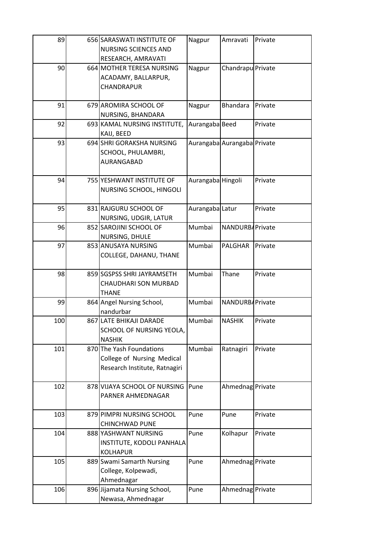| 89  | 656 SARASWATI INSTITUTE OF<br>NURSING SCIENCES AND                                      | Nagpur            | Amravati                    | Private |
|-----|-----------------------------------------------------------------------------------------|-------------------|-----------------------------|---------|
|     | RESEARCH, AMRAVATI                                                                      |                   |                             |         |
| 90  | 664 MOTHER TERESA NURSING<br>ACADAMY, BALLARPUR,<br>CHANDRAPUR                          | Nagpur            | Chandrapu Private           |         |
| 91  | 679 AROMIRA SCHOOL OF<br>NURSING, BHANDARA                                              | Nagpur            | Bhandara                    | Private |
| 92  | 693 KAMAL NURSING INSTITUTE,<br>KAIJ, BEED                                              | Aurangaba Beed    |                             | Private |
| 93  | 694 SHRI GORAKSHA NURSING<br>SCHOOL, PHULAMBRI,<br>AURANGABAD                           |                   | Aurangaba Aurangaba Private |         |
| 94  | 755 YESHWANT INSTITUTE OF<br>NURSING SCHOOL, HINGOLI                                    | Aurangaba Hingoli |                             | Private |
| 95  | 831 RAJGURU SCHOOL OF<br>NURSING, UDGIR, LATUR                                          | Aurangaba Latur   |                             | Private |
| 96  | 852 SAROJINI SCHOOL OF<br>NURSING, DHULE                                                | Mumbai            | NANDURB/Private             |         |
| 97  | 853 ANUSAYA NURSING<br>COLLEGE, DAHANU, THANE                                           | Mumbai            | PALGHAR                     | Private |
| 98  | 859 SGSPSS SHRI JAYRAMSETH<br>CHAUDHARI SON MURBAD<br><b>THANE</b>                      | Mumbai            | Thane                       | Private |
| 99  | 864 Angel Nursing School,<br>nandurbar                                                  | Mumbai            | NANDURBAPrivate             |         |
| 100 | 867 LATE BHIKAJI DARADE<br>SCHOOL OF NURSING YEOLA,<br><b>NASHIK</b>                    | Mumbai            | <b>NASHIK</b>               | Private |
| 101 | 870 The Yash Foundations<br>College of Nursing Medical<br>Research Institute, Ratnagiri | Mumbai            | Ratnagiri                   | Private |
| 102 | 878 VIJAYA SCHOOL OF NURSING<br>PARNER AHMEDNAGAR                                       | Pune              | Ahmednag Private            |         |
| 103 | 879 PIMPRI NURSING SCHOOL<br><b>CHINCHWAD PUNE</b>                                      | Pune              | Pune                        | Private |
| 104 | 888 YASHWANT NURSING<br>INSTITUTE, KODOLI PANHALA<br><b>KOLHAPUR</b>                    | Pune              | Kolhapur                    | Private |
| 105 | 889 Swami Samarth Nursing<br>College, Kolpewadi,<br>Ahmednagar                          | Pune              | Ahmednag Private            |         |
| 106 | 896 Jijamata Nursing School,<br>Newasa, Ahmednagar                                      | Pune              | Ahmednag Private            |         |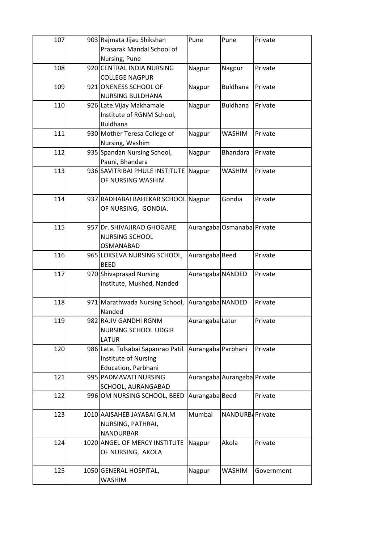| 107 | 903 Rajmata Jijau Shikshan               | Pune               | Pune                        | Private    |
|-----|------------------------------------------|--------------------|-----------------------------|------------|
|     | Prasarak Mandal School of                |                    |                             |            |
|     | Nursing, Pune                            |                    |                             |            |
| 108 | 920 CENTRAL INDIA NURSING                | Nagpur             | Nagpur                      | Private    |
|     | <b>COLLEGE NAGPUR</b>                    |                    |                             |            |
| 109 | 921 ONENESS SCHOOL OF                    | Nagpur             | <b>Buldhana</b>             | Private    |
|     | <b>NURSING BULDHANA</b>                  |                    |                             |            |
| 110 | 926 Late. Vijay Makhamale                | Nagpur             | <b>Buldhana</b>             | Private    |
|     | Institute of RGNM School,                |                    |                             |            |
|     | <b>Buldhana</b>                          |                    |                             |            |
| 111 | 930 Mother Teresa College of             | Nagpur             | <b>WASHIM</b>               | Private    |
|     | Nursing, Washim                          |                    |                             |            |
| 112 | 935 Spandan Nursing School,              | Nagpur             | <b>Bhandara</b>             | Private    |
|     | Pauni, Bhandara                          |                    |                             |            |
| 113 | 936 SAVITRIBAI PHULE INSTITUTE           | Nagpur             | WASHIM                      | Private    |
|     | OF NURSING WASHIM                        |                    |                             |            |
|     |                                          |                    |                             |            |
| 114 | 937 RADHABAI BAHEKAR SCHOOL Nagpur       |                    | Gondia                      | Private    |
|     | OF NURSING, GONDIA.                      |                    |                             |            |
|     |                                          |                    |                             |            |
| 115 | 957 Dr. SHIVAJIRAO GHOGARE               |                    | Aurangaba Osmanaba Private  |            |
|     | <b>NURSING SCHOOL</b>                    |                    |                             |            |
|     | <b>OSMANABAD</b>                         |                    |                             |            |
| 116 | 965 LOKSEVA NURSING SCHOOL,              | Aurangaba Beed     |                             | Private    |
|     | <b>BEED</b>                              |                    |                             |            |
| 117 | 970 Shivaprasad Nursing                  | Aurangaba NANDED   |                             | Private    |
|     | Institute, Mukhed, Nanded                |                    |                             |            |
|     |                                          |                    |                             |            |
| 118 | 971 Marathwada Nursing School,<br>Nanded | Aurangaba NANDED   |                             | Private    |
| 119 | 982 RAJIV GANDHI RGNM                    |                    |                             | Private    |
|     | <b>NURSING SCHOOL UDGIR</b>              | Aurangaba Latur    |                             |            |
|     | <b>LATUR</b>                             |                    |                             |            |
| 120 | 986 Late. Tulsabai Sapanrao Patil        | Aurangaba Parbhani |                             | Private    |
|     | Institute of Nursing                     |                    |                             |            |
|     | Education, Parbhani                      |                    |                             |            |
| 121 | 995 PADMAVATI NURSING                    |                    | Aurangaba Aurangaba Private |            |
|     | SCHOOL, AURANGABAD                       |                    |                             |            |
| 122 | 996 OM NURSING SCHOOL, BEED              | Aurangaba Beed     |                             | Private    |
|     |                                          |                    |                             |            |
| 123 | 1010 AAISAHEB JAYABAI G.N.M              | Mumbai             | NANDURBAPrivate             |            |
|     | NURSING, PATHRAI,                        |                    |                             |            |
|     | <b>NANDURBAR</b>                         |                    |                             |            |
| 124 | 1020 ANGEL OF MERCY INSTITUTE            | Nagpur             | Akola                       | Private    |
|     | OF NURSING, AKOLA                        |                    |                             |            |
|     |                                          |                    |                             |            |
| 125 | 1050 GENERAL HOSPITAL,                   | Nagpur             | WASHIM                      | Government |
|     | <b>WASHIM</b>                            |                    |                             |            |